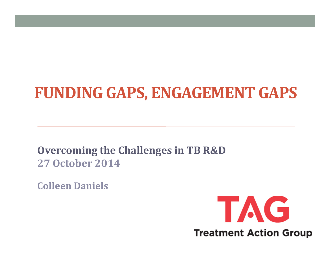# FUNDING GAPS, ENGAGEMENT GAPS

Overcoming the Challenges in TB R&D27 October 2014

Colleen Daniels

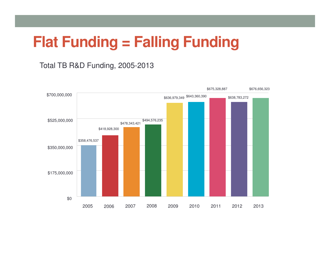## **Flat Funding = Falling Funding**

#### Total TB R&D Funding, 2005-2013

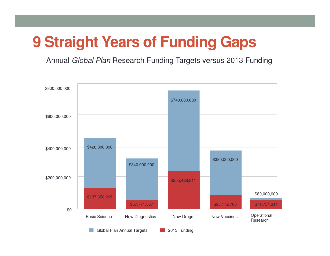# **9 Straight Years of Funding Gaps**

Annual Global Plan Research Funding Targets versus 2013 Funding

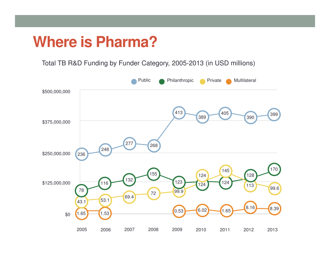### **Where is Pharma?**

Total TB R&D Funding by Funder Category, 2005-2013 (in USD millions)

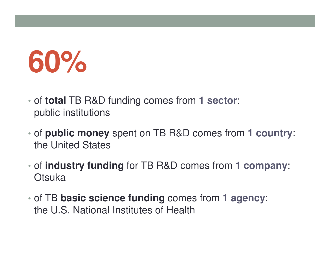# **60%**

- of **total** TB R&D funding comes from **<sup>1</sup> sector**: public institutions
- of **public money** spent on TB R&D comes from **<sup>1</sup> country**: the United States
- of **industry funding** for TB R&D comes from **1 company**: **Otsuka**
- of TB **basic science funding** comes from **<sup>1</sup> agency**: the U.S. National Institutes of Health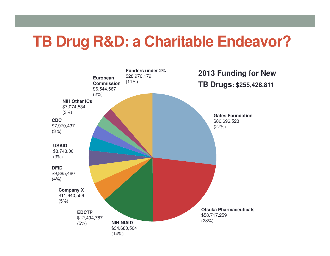### **TB Drug R&D: a Charitable Endeavor?**

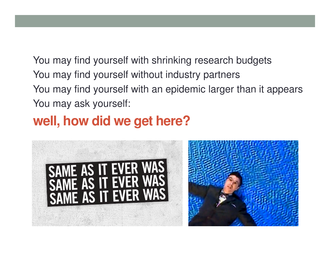You may find yourself with shrinking research budgetsYou may find yourself without industry partnersYou may find yourself with an epidemic larger than it appearsYou may ask yourself:

#### **well, how did we get here?**



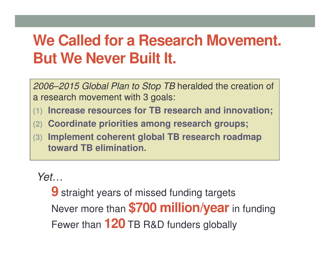# **We Called for a Research Movement. But We Never Built It.**

2006–2015 Global Plan to Stop TB heralded the creation of a research movement with 3 goals:

- **(1)Increase resources for TB research and innovation;**
- **(2)Coordinate priorities among research groups;**
- **(3) Implement coherent global TB research roadmap toward TB elimination.**

#### Yet…

**9** straight years of missed funding targets Never more than **\$700 million/year** in funding Fewer than **120** TB R&D funders globally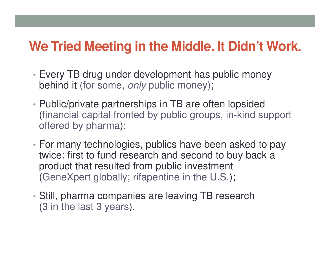#### **We Tried Meeting in the Middle. It Didn't Work.**

- Every TB drug under development has public money behind it (for some, *only* public money);
- Public/private partnerships in TB are often lopsided (financial capital fronted by public groups, in-kind support offered by pharma);
- For many technologies, publics have been asked to pay twice: first to fund research and second to buy back a product that resulted from public investment (GeneXpert globally; rifapentine in the U.S.);
- • Still, pharma companies are leaving TB research (3 in the last 3 years).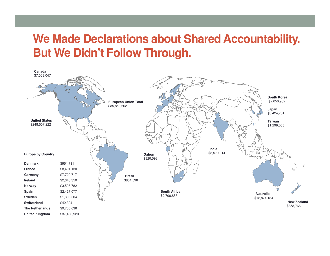#### **We Made Declarations about Shared Accountability. But We Didn't Follow Through.**

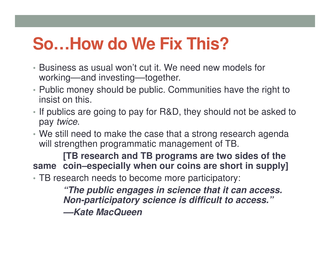# **So…How do We Fix This?**

- Business as usual won't cut it. We need new models for working—and investing—together.
- Public money should be public. Communities have the right to insist on this.
- If publics are going to pay for R&D, they should not be asked to pay twice.
- We still need to make the case that a strong research agenda will strengthen programmatic management of TB.

**[TB research and TB programs are two sides of the same coin–especially when our coins are short in supply]** • TB research needs to become more participatory:

> **"The public engages in science that it can access. Non-participatory science is difficult to access."**

**––Kate MacQueen**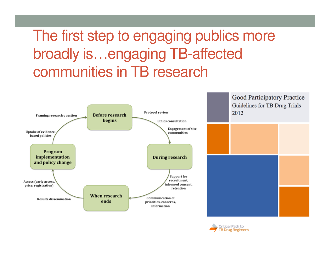The first step to engaging publics more broadly is…engaging TB-affected communities in TB research